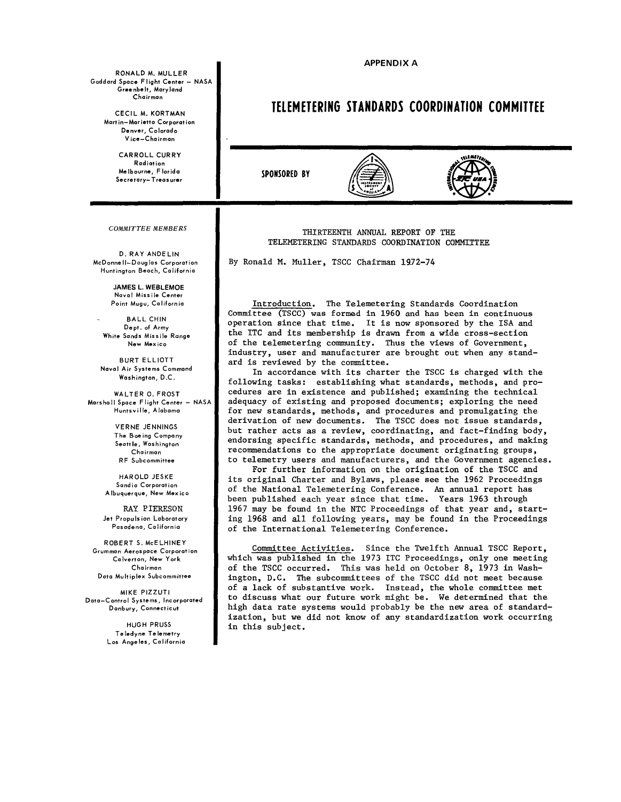**APPENDIX A** 

RONALD M. MULLER Goddard Space Flight Center - NASA **Greenbelt, Maryland Chairman** 

> CECIL M. KORTMAN **Mart in-Mor ietta Corporot ion Denver, Colorado Vice-Chairman**

> > CARROLL CURRY **Radiation Melbourne, Florida Secretary-Treasurer**

COMMITTEE MEMBERS

D. RAY ANDELIN **McDonnell-Douglas Corporation Huntington Beach, California** 

> **JAMES L. WEBI FMOF Nava I Missile Center Point Mugu, California**

BALL CHIN **Dept. of Army White Sands Missile Range New Mexico** 

BURT ELLIOTT **Naval Air Systems Command Washington, D.C.** 

WALTER 0. FROST **Marshall Space Flight Center - NASA Huntsville, Alabama** 

> VERNE JENNINGS **The Boeing Company Seattle, Washington Chairman RF Subcommittee**

HAROLD JESKE **Sandia Corporation Albuquerque, New Mexico** 

RAY: PIER.ESON **Jet Propulsion Laboratory Pasadena, California** 

ROBERTS. McELHINEY **Grumman Aerospace Corporation Calverton, New York Chairman Dato Mu It iplex Subcommittee** 

MIKE PIZZUTI **Doto-Control Systems, Incorporated Danbury, Connecticut** 

> HUGH PRUSS **Teledyne Telemetry Los Angeles, California**

**TELEMETERING STANDARDS COORDINATION COMMITTEE** 

**SPONSORED BY** 





THIRTEENTH ANNUAL REPORT OF THE TELEMETERING STANDARDS COORDINATION COMMITTEE

By Ronald M. Muller, TSCC Chairman 1972-74

Introduction. The Telemetering Standards Coordination Committee (TSCC) was formed in 1960 and has been in continuous operation since that time. It is now sponsored by the ISA and the ITC and its membership is drawn from a wide cross-section of the telemetering community, Thus the views of Government, industry, user and manufacturer are brought out when any standard is reviewed by the committee.

In accordance with its charter the TSCC is charged with the following tasks: establishing what standards, methods, and procedures are in existence and published; examining the technical adequacy of existing and proposed documents; exploring the need for new standards, methods, and procedures and promulgating the derivation of new documents. The TSCC does not issue standards, but rather acts as a review, coordinating, and fact-finding body, endorsing specific standards, methods, and procedures, and making recommendations to the appropriate document originating groups, to telemetry users and manufacturers, and the Government agencies.

For further information on the origination of the TSCC and its original Charter and Bylaws, please see the 1962 Proceedings of the National Telemetering Conference, An annual report has been published each year since that time. Years 1963 through 1967 may be found in the NTC Proceedings of that year and, starting 1968 and all following years, may be found in the Proceedings of the International Telemetering Conference.

Committee Activities. Since the Twelfth Annual TSCC Report, which was published in the 1973 ITC Proceedings, only one meeting of the TSCC occurred. This was held on October 8, 1973 in Washington, D.C. The subcommittees of the TSCC did not meet because of a lack of substantive work, Instead, the whole committee met to discuss what our future work might be. We determined that the high data rate systems would probably be the new area of standardization, but we did not know of any standardization work occurring in this subject.